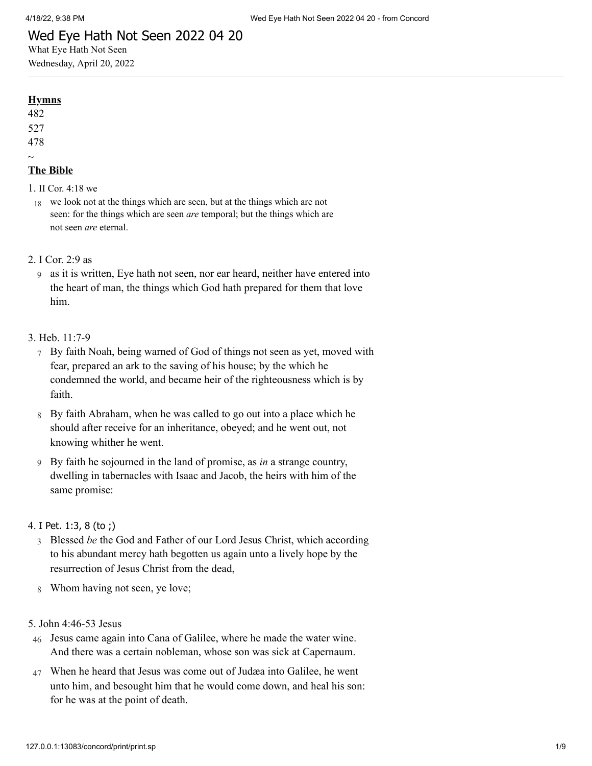# Wed Eye Hath Not Seen 2022 04 20

What Eye Hath Not Seen Wednesday, April 20, 2022

## **Hymns**

482

527

478  $\sim$ 

# **The Bible**

- 1. II Cor. [4:18](http://www.concordworks.com/citation/II%20Cor.%204:18%20we) we
- 18 we look not at the things which are seen, but at the things which are not seen: for the things which are seen *are* temporal; but the things which are not seen *are* eternal.
- 2. [I Cor. 2:9 as](http://www.concordworks.com/citation/I%20Cor.%202:9%20as)
	- 9 as it is written, Eye hath not seen, nor ear heard, neither have entered into the heart of man, the things which God hath prepared for them that love him.

## 3. [Heb. 11:7-9](http://www.concordworks.com/citation/Heb.%2011:7-9)

- 7 By faith Noah, being warned of God of things not seen as yet, moved with fear, prepared an ark to the saving of his house; by the which he condemned the world, and became heir of the righteousness which is by faith.
- 8 By faith Abraham, when he was called to go out into a place which he should after receive for an inheritance, obeyed; and he went out, not knowing whither he went.
- 9 By faith he sojourned in the land of promise, as *in* a strange country, dwelling in tabernacles with Isaac and Jacob, the heirs with him of the same promise:

## 4. I Pet. [1:3,](http://www.concordworks.com/citation/I%20Pet.%201:3,%208%20(to%20;)) 8 (to ;)

- 3 Blessed *be* the God and Father of our Lord Jesus Christ, which according to his abundant mercy hath begotten us again unto a lively hope by the resurrection of Jesus Christ from the dead,
- 8 Whom having not seen, ye love;

## 5. [John 4:46-53 Jesus](http://www.concordworks.com/citation/John%204:46-53%20Jesus)

- 46 Jesus came again into Cana of Galilee, where he made the water wine. And there was a certain nobleman, whose son was sick at Capernaum.
- 47 When he heard that Jesus was come out of Judæa into Galilee, he went unto him, and besought him that he would come down, and heal his son: for he was at the point of death.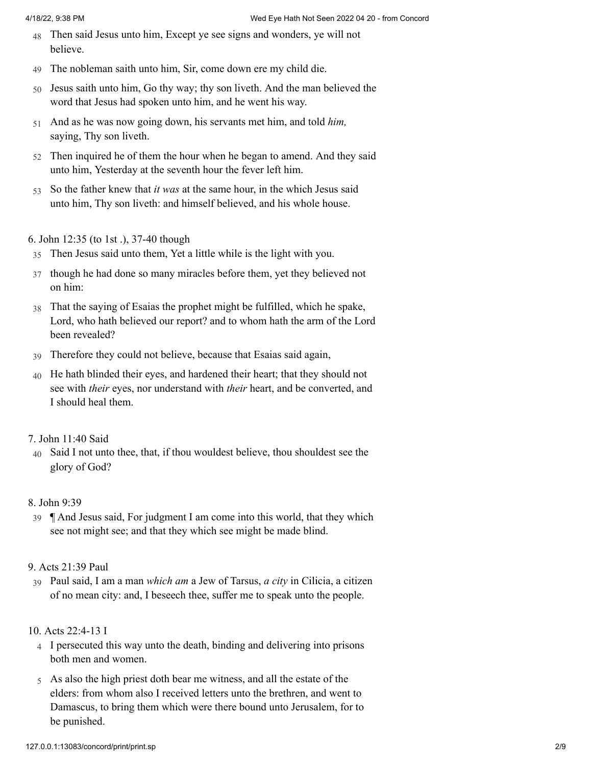- 48 Then said Jesus unto him, Except ye see signs and wonders, ye will not believe.
- 49 The nobleman saith unto him, Sir, come down ere my child die.
- 50 Jesus saith unto him, Go thy way; thy son liveth. And the man believed the word that Jesus had spoken unto him, and he went his way.
- 51 And as he was now going down, his servants met him, and told *him,* saying, Thy son liveth.
- 52 Then inquired he of them the hour when he began to amend. And they said unto him, Yesterday at the seventh hour the fever left him.
- 53 So the father knew that *it was* at the same hour, in the which Jesus said unto him, Thy son liveth: and himself believed, and his whole house.

## 6. [John 12:35 \(to 1st .\), 37-40 though](http://www.concordworks.com/citation/John%2012:35%20(to%201st%20.),%2037-40%20though)

- 35 Then Jesus said unto them, Yet a little while is the light with you.
- 37 though he had done so many miracles before them, yet they believed not on him:
- 38 That the saying of Esaias the prophet might be fulfilled, which he spake, Lord, who hath believed our report? and to whom hath the arm of the Lord been revealed?
- 39 Therefore they could not believe, because that Esaias said again,
- 40 He hath blinded their eyes, and hardened their heart; that they should not see with *their* eyes, nor understand with *their* heart, and be converted, and I should heal them.

## 7. [John 11:40 Said](http://www.concordworks.com/citation/John%2011:40%20Said)

40 Said I not unto thee, that, if thou wouldest believe, thou shouldest see the glory of God?

## 8. [John 9:39](http://www.concordworks.com/citation/John%209:39)

39 ¶ And Jesus said, For judgment I am come into this world, that they which see not might see; and that they which see might be made blind.

## 9. [Acts 21:39 Paul](http://www.concordworks.com/citation/Acts%2021:39%20Paul)

39 Paul said, I am a man *which am* a Jew of Tarsus, *a city* in Cilicia, a citizen of no mean city: and, I beseech thee, suffer me to speak unto the people.

## 10. [Acts 22:4-13 I](http://www.concordworks.com/citation/Acts%2022:4-13%20I)

- 4 I persecuted this way unto the death, binding and delivering into prisons both men and women.
- 5 As also the high priest doth bear me witness, and all the estate of the elders: from whom also I received letters unto the brethren, and went to Damascus, to bring them which were there bound unto Jerusalem, for to be punished.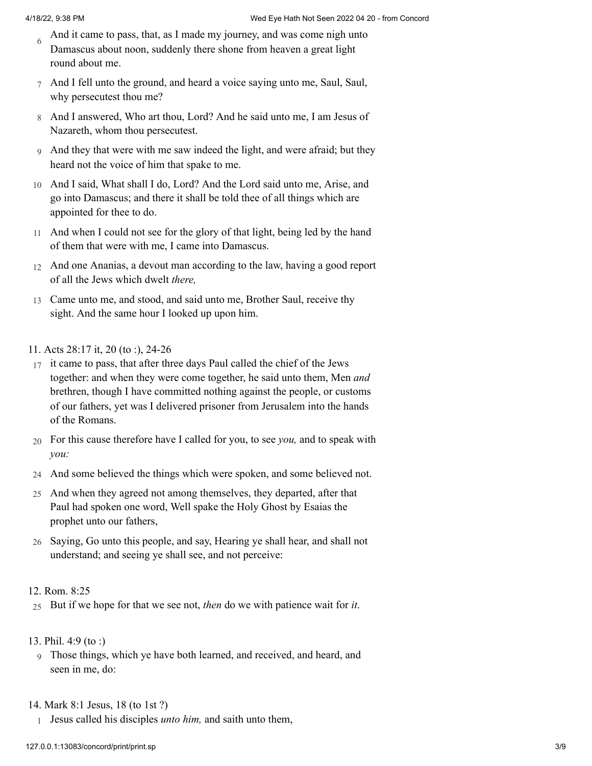- 6 And it came to pass, that, as I made my journey, and was come nigh unto Damascus about noon, suddenly there shone from heaven a great light round about me.
- 7 And I fell unto the ground, and heard a voice saying unto me, Saul, Saul, why persecutest thou me?
- 8 And I answered, Who art thou, Lord? And he said unto me, I am Jesus of Nazareth, whom thou persecutest.
- 9 And they that were with me saw indeed the light, and were afraid; but they heard not the voice of him that spake to me.
- 10 And I said, What shall I do, Lord? And the Lord said unto me, Arise, and go into Damascus; and there it shall be told thee of all things which are appointed for thee to do.
- 11 And when I could not see for the glory of that light, being led by the hand of them that were with me, I came into Damascus.
- 12 And one Ananias, a devout man according to the law, having a good report of all the Jews which dwelt *there,*
- 13 Came unto me, and stood, and said unto me, Brother Saul, receive thy sight. And the same hour I looked up upon him.
- 11. [Acts 28:17 it, 20 \(to :\), 24-26](http://www.concordworks.com/citation/Acts%2028:17%20it,%2020%20(to%20:),%2024-26)
- 17 it came to pass, that after three days Paul called the chief of the Jews together: and when they were come together, he said unto them, Men *and* brethren, though I have committed nothing against the people, or customs of our fathers, yet was I delivered prisoner from Jerusalem into the hands of the Romans.
- 20 For this cause therefore have I called for you, to see *you,* and to speak with *you:*
- 24 And some believed the things which were spoken, and some believed not.
- 25 And when they agreed not among themselves, they departed, after that Paul had spoken one word, Well spake the Holy Ghost by Esaias the prophet unto our fathers,
- 26 Saying, Go unto this people, and say, Hearing ye shall hear, and shall not understand; and seeing ye shall see, and not perceive:

## 12. [Rom. 8:25](http://www.concordworks.com/citation/Rom.%208:25)

- 25 But if we hope for that we see not, *then* do we with patience wait for *it*.
- 13. [Phil. 4:9 \(to :\)](http://www.concordworks.com/citation/Phil.%204:9%20(to%20:))
	- 9 Those things, which ye have both learned, and received, and heard, and seen in me, do:

## 14. [Mark 8:1 Jesus, 18 \(to 1st ?\)](http://www.concordworks.com/citation/Mark%208:1%20Jesus,%2018%20(to%201st%20?))

1 Jesus called his disciples *unto him,* and saith unto them,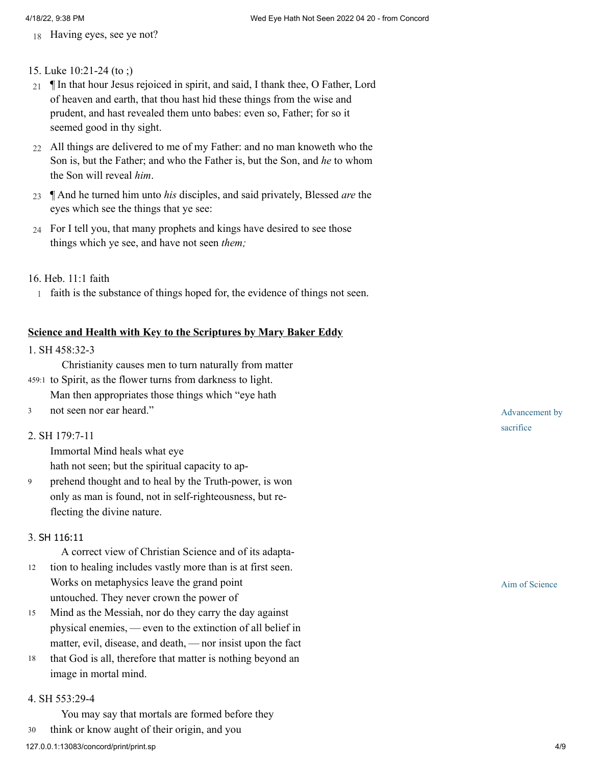18 Having eyes, see ye not?

## 15. [Luke 10:21-24 \(to ;\)](http://www.concordworks.com/citation/Luke%2010:21-24%20(to%20;))

- 21 In that hour Jesus rejoiced in spirit, and said, I thank thee, O Father, Lord of heaven and earth, that thou hast hid these things from the wise and prudent, and hast revealed them unto babes: even so, Father; for so it seemed good in thy sight.
- 22 All things are delivered to me of my Father: and no man knoweth who the Son is, but the Father; and who the Father is, but the Son, and *he* to whom the Son will reveal *him*.
- 23 ¶ And he turned him unto *his* disciples, and said privately, Blessed *are* the eyes which see the things that ye see:
- 24 For I tell you, that many prophets and kings have desired to see those things which ye see, and have not seen *them;*

## 16. [Heb. 11:1 faith](http://www.concordworks.com/citation/Heb.%2011:1%20faith)

1 faith is the substance of things hoped for, the evidence of things not seen.

## **Science and Health with Key to the Scriptures by Mary Baker Eddy**

## 1. [SH 458:32-3](http://www.concordworks.com/citation/SH%20458:32-3)

Christianity causes men to turn naturally from matter

- 459:1 to Spirit, as the flower turns from darkness to light.
- Man then appropriates those things which "eye hath
- not seen nor ear heard." 3

### 2. [SH 179:7-11](http://www.concordworks.com/citation/SH%20179:7-11)

Immortal Mind heals what eye hath not seen; but the spiritual capacity to ap‐

prehend thought and to heal by the Truth-power, is won only as man is found, not in self-righteousness, but re‐ flecting the divine nature. 9

### 3. SH [116:11](http://www.concordworks.com/citation/SH%20116:11)

A correct view of Christian Science and of its adapta‐

- tion to healing includes vastly more than is at first seen. Works on metaphysics leave the grand point untouched. They never crown the power of 12
- Mind as the Messiah, nor do they carry the day against physical enemies, — even to the extinction of all belief in matter, evil, disease, and death, — nor insist upon the fact 15
- that God is all, therefore that matter is nothing beyond an image in mortal mind. 18

#### 4. [SH 553:29-4](http://www.concordworks.com/citation/SH%20553:29-4)

You may say that mortals are formed before they 30 think or know aught of their origin, and you

Aim of Science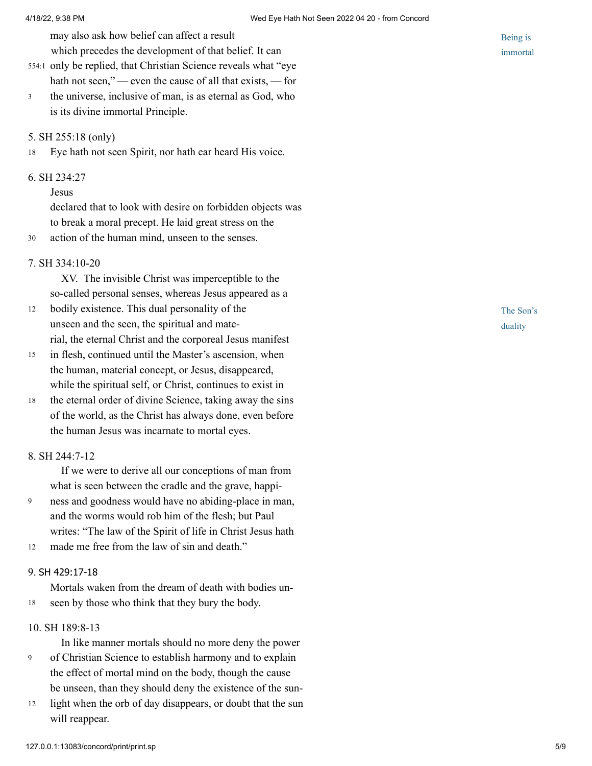may also ask how belief can affect a result

which precedes the development of that belief. It can

- 554:1 only be replied, that Christian Science reveals what "eye hath not seen,"—even the cause of all that exists, — for
- the universe, inclusive of man, is as eternal as God, who is its divine immortal Principle. 3

#### 5. [SH 255:18 \(only\)](http://www.concordworks.com/citation/SH%20255:18%20(only))

18 Eye hath not seen Spirit, nor hath ear heard His voice.

## 6. [SH 234:27](http://www.concordworks.com/citation/SH%20234:27)

#### Jesus

declared that to look with desire on forbidden objects was to break a moral precept. He laid great stress on the

30 action of the human mind, unseen to the senses.

#### 7. [SH 334:10-20](http://www.concordworks.com/citation/SH%20334:10-20)

XV. The invisible Christ was imperceptible to the so-called personal senses, whereas Jesus appeared as a

- bodily existence. This dual personality of the unseen and the seen, the spiritual and mate‐ rial, the eternal Christ and the corporeal Jesus manifest 12
- in flesh, continued until the Master's ascension, when the human, material concept, or Jesus, disappeared, while the spiritual self, or Christ, continues to exist in 15
- the eternal order of divine Science, taking away the sins of the world, as the Christ has always done, even before the human Jesus was incarnate to mortal eyes. 18

### 8. [SH 244:7-12](http://www.concordworks.com/citation/SH%20244:7-12)

If we were to derive all our conceptions of man from what is seen between the cradle and the grave, happi-

- ness and goodness would have no abiding-place in man, and the worms would rob him of the flesh; but Paul writes: "The law of the Spirit of life in Christ Jesus hath 9
- made me free from the law of sin and death." 12

## 9. SH [429:17-18](http://www.concordworks.com/citation/SH%20429:17-18)

Mortals waken from the dream of death with bodies un‐ 18 seen by those who think that they bury the body.

## 10. [SH 189:8-13](http://www.concordworks.com/citation/SH%20189:8-13)

In like manner mortals should no more deny the power

- of Christian Science to establish harmony and to explain the effect of mortal mind on the body, though the cause be unseen, than they should deny the existence of the sun-9
- light when the orb of day disappears, or doubt that the sun will reappear. 12

Being is immortal

The Son's duality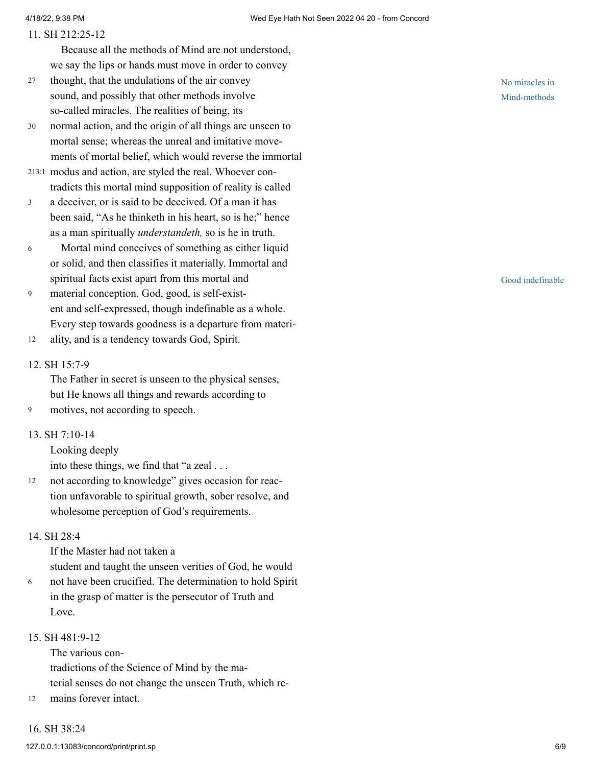#### 11. [SH 212:25-12](http://www.concordworks.com/citation/SH%20212:25-12)

Because all the methods of Mind are not understood, we say the lips or hands must move in order to convey

- thought, that the undulations of the air convey sound, and possibly that other methods involve so-called miracles. The realities of being, its 27
- normal action, and the origin of all things are unseen to mortal sense; whereas the unreal and imitative movements of mortal belief, which would reverse the immortal 30
- modus and action, are styled the real. Whoever con‐ 213:1 tradicts this mortal mind supposition of reality is called
- a deceiver, or is said to be deceived. Of a man it has been said, "As he thinketh in his heart, so is he;" hence as a man spiritually *understandeth,* so is he in truth. 3
- Mortal mind conceives of something as either liquid or solid, and then classifies it materially. Immortal and spiritual facts exist apart from this mortal and 6
- material conception. God, good, is self-exist‐ ent and self-expressed, though indefinable as a whole. Every step towards goodness is a departure from materi‐ 9
- ality, and is a tendency towards God, Spirit. 12

#### 12. [SH 15:7-9](http://www.concordworks.com/citation/SH%2015:7-9)

The Father in secret is unseen to the physical senses, but He knows all things and rewards according to

9 motives, not according to speech.

## 13. [SH 7:10-14](http://www.concordworks.com/citation/SH%207:10-14)

Looking deeply

into these things, we find that "a zeal . . .

not according to knowledge" gives occasion for reac‐ tion unfavorable to spiritual growth, sober resolve, and wholesome perception of God's requirements. 12

## 14. [SH 28:4](http://www.concordworks.com/citation/SH%2028:4)

If the Master had not taken a student and taught the unseen verities of God, he would

not have been crucified. The determination to hold Spirit in the grasp of matter is the persecutor of Truth and Love. 6

## 15. [SH 481:9-12](http://www.concordworks.com/citation/SH%20481:9-12)

16. [SH 38:24](http://www.concordworks.com/citation/SH%2038:24)

The various contradictions of the Science of Mind by the ma‐ terial senses do not change the unseen Truth, which re‐

12 mains forever intact.

No miracles in Mind-methods

Good indefinable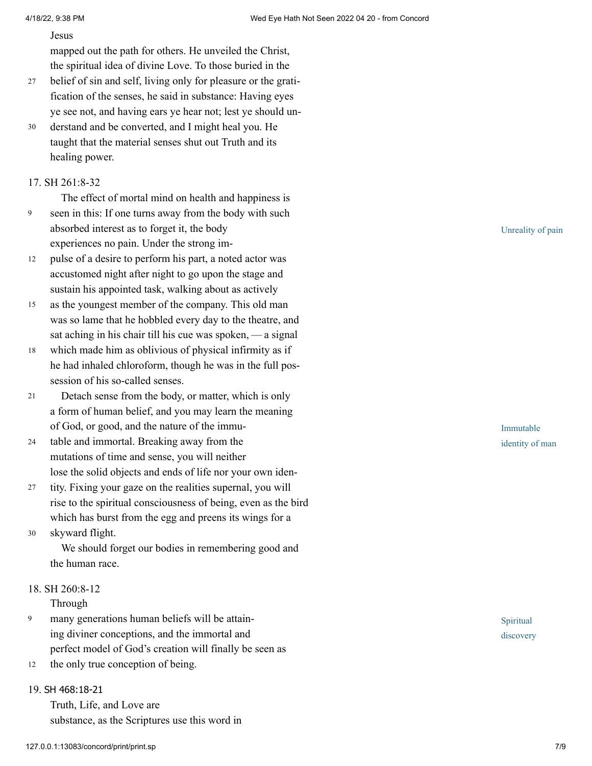Jesus

mapped out the path for others. He unveiled the Christ, the spiritual idea of divine Love. To those buried in the

- belief of sin and self, living only for pleasure or the gratification of the senses, he said in substance: Having eyes ye see not, and having ears ye hear not; lest ye should un‐ 27
- derstand and be converted, and I might heal you. He taught that the material senses shut out Truth and its healing power. 30

## 17. [SH 261:8-32](http://www.concordworks.com/citation/SH%20261:8-32)

9

The effect of mortal mind on health and happiness is seen in this: If one turns away from the body with such absorbed interest as to forget it, the body experiences no pain. Under the strong im‐

- pulse of a desire to perform his part, a noted actor was accustomed night after night to go upon the stage and sustain his appointed task, walking about as actively 12
- as the youngest member of the company. This old man was so lame that he hobbled every day to the theatre, and sat aching in his chair till his cue was spoken, - a signal 15
- which made him as oblivious of physical infirmity as if he had inhaled chloroform, though he was in the full possession of his so-called senses. 18
- Detach sense from the body, or matter, which is only a form of human belief, and you may learn the meaning of God, or good, and the nature of the immu‐ 21
- table and immortal. Breaking away from the mutations of time and sense, you will neither lose the solid objects and ends of life nor your own iden‐ 24
- tity. Fixing your gaze on the realities supernal, you will rise to the spiritual consciousness of being, even as the bird which has burst from the egg and preens its wings for a 27
- skyward flight. 30

We should forget our bodies in remembering good and the human race.

18. [SH 260:8-12](http://www.concordworks.com/citation/SH%20260:8-12)

Through

- many generations human beliefs will be attain‐ ing diviner conceptions, and the immortal and perfect model of God's creation will finally be seen as 9
- the only true conception of being. 12

## 19. SH [468:18-21](http://www.concordworks.com/citation/SH%20468:18-21)

Truth, Life, and Love are substance, as the Scriptures use this word in Unreality of pain

Immutable identity of man

Spiritual discovery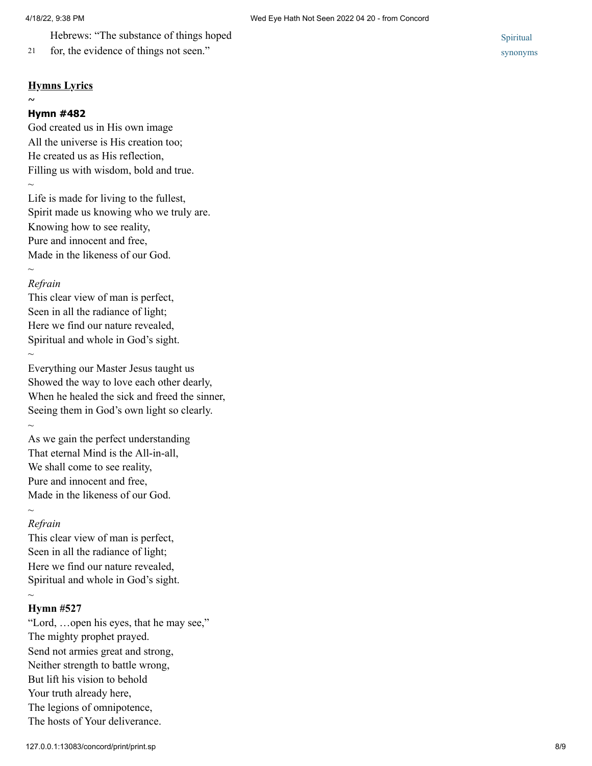Hebrews: "The substance of things hoped

### **Hymns Lyrics**

 $\sim$ 

#### **Hymn #482**

God created us in His own image All the universe is His creation too; He created us as His reflection, Filling us with wisdom, bold and true.  $\sim$ 

Life is made for living to the fullest, Spirit made us knowing who we truly are. Knowing how to see reality, Pure and innocent and free, Made in the likeness of our God.

## *Refrain*

*~*

This clear view of man is perfect, Seen in all the radiance of light; Here we find our nature revealed, Spiritual and whole in God's sight.  $\sim$ 

Everything our Master Jesus taught us Showed the way to love each other dearly, When he healed the sick and freed the sinner, Seeing them in God's own light so clearly.  $\sim$ 

As we gain the perfect understanding That eternal Mind is the All-in-all, We shall come to see reality, Pure and innocent and free, Made in the likeness of our God.  $\sim$ 

## *Refrain*

This clear view of man is perfect, Seen in all the radiance of light; Here we find our nature revealed, Spiritual and whole in God's sight.

## **Hymn #527**

 $\sim$ 

"Lord, …open his eyes, that he may see," The mighty prophet prayed. Send not armies great and strong, Neither strength to battle wrong, But lift his vision to behold Your truth already here, The legions of omnipotence, The hosts of Your deliverance.